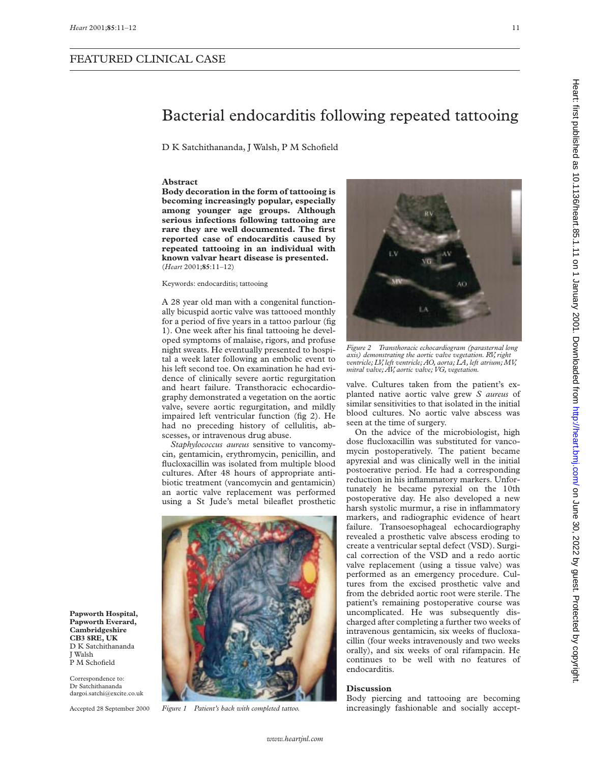**Papworth Hospital, Papworth Everard, Cambridgeshire CB3 8RE, UK** D K Satchithananda

J Walsh P M Schofield Correspondence to: Dr Satchithananda dargoi.satchi@excite.co.uk Accepted 28 September 2000

## FEATURED CLINICAL CASE

## Bacterial endocarditis following repeated tattooing

D K Satchithananda, J Walsh, P M Schofield

#### **Abstract**

**Body decoration in the form of tattooing is becoming increasingly popular, especially among younger age groups. Although serious infections following tattooing are rare they are well documented. The first reported case of endocarditis caused by repeated tattooing in an individual with known valvar heart disease is presented.** (*Heart* 2001;**85**:11–12)

Keywords: endocarditis; tattooing

A 28 year old man with a congenital functionally bicuspid aortic valve was tattooed monthly for a period of five years in a tattoo parlour (fig 1). One week after his final tattooing he developed symptoms of malaise, rigors, and profuse night sweats. He eventually presented to hospital a week later following an embolic event to his left second toe. On examination he had evidence of clinically severe aortic regurgitation and heart failure. Transthoracic echocardiography demonstrated a vegetation on the aortic valve, severe aortic regurgitation, and mildly impaired left ventricular function (fig 2). He had no preceding history of cellulitis, abscesses, or intravenous drug abuse.

*Staphylococcus aureus* sensitive to vancomycin, gentamicin, erythromycin, penicillin, and flucloxacillin was isolated from multiple blood cultures. After 48 hours of appropriate antibiotic treatment (vancomycin and gentamicin) an aortic valve replacement was performed using a St Jude's metal bileaflet prosthetic





*Figure 2 Transthoracic echocardiogram (parasternal long axis) demonstrating the aortic valve vegetation. RV, right ventricle; LV, left ventricle; AO, aorta; LA, left atrium; MV, mitral valve; AV, aortic valve; VG, vegetation.*

valve. Cultures taken from the patient's explanted native aortic valve grew *S aureus* of similar sensitivities to that isolated in the initial blood cultures. No aortic valve abscess was seen at the time of surgery.

On the advice of the microbiologist, high dose flucloxacillin was substituted for vancomycin postoperatively. The patient became apyrexial and was clinically well in the initial postoerative period. He had a corresponding reduction in his inflammatory markers. Unfortunately he became pyrexial on the 10th postoperative day. He also developed a new harsh systolic murmur, a rise in inflammatory markers, and radiographic evidence of heart failure. Transoesophageal echocardiography revealed a prosthetic valve abscess eroding to create a ventricular septal defect (VSD). Surgical correction of the VSD and a redo aortic valve replacement (using a tissue valve) was performed as an emergency procedure. Cultures from the excised prosthetic valve and from the debrided aortic root were sterile. The patient's remaining postoperative course was uncomplicated. He was subsequently discharged after completing a further two weeks of intravenous gentamicin, six weeks of flucloxacillin (four weeks intravenously and two weeks orally), and six weeks of oral rifampacin. He continues to be well with no features of endocarditis.

### **Discussion**

Body piercing and tattooing are becoming *Figure 1 Patient's back with completed tattoo.* increasingly fashionable and socially accept-